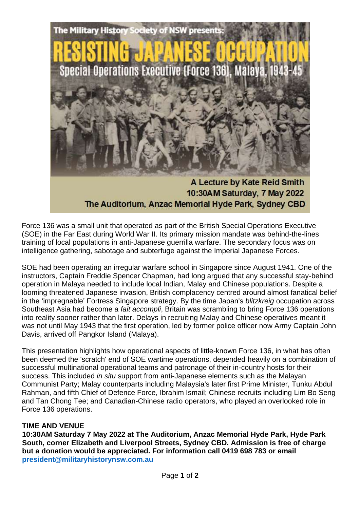

Force 136 was a small unit that operated as part of the British Special Operations Executive (SOE) in the Far East during World War II. Its primary mission mandate was behind-the-lines training of local populations in anti-Japanese guerrilla warfare. The secondary focus was on intelligence gathering, sabotage and subterfuge against the Imperial Japanese Forces.

SOE had been operating an irregular warfare school in Singapore since August 1941. One of the instructors, Captain Freddie Spencer Chapman, had long argued that any successful stay-behind operation in Malaya needed to include local Indian, Malay and Chinese populations. Despite a looming threatened Japanese invasion, British complacency centred around almost fanatical belief in the 'impregnable' Fortress Singapore strategy. By the time Japan's *blitzkreig* occupation across Southeast Asia had become a *fait accompli*, Britain was scrambling to bring Force 136 operations into reality sooner rather than later. Delays in recruiting Malay and Chinese operatives meant it was not until May 1943 that the first operation, led by former police officer now Army Captain John Davis, arrived off Pangkor Island (Malaya).

This presentation highlights how operational aspects of little-known Force 136, in what has often been deemed the 'scratch' end of SOE wartime operations, depended heavily on a combination of successful multinational operational teams and patronage of their in-country hosts for their success. This included *in situ* support from anti-Japanese elements such as the Malayan Communist Party; Malay counterparts including Malaysia's later first Prime Minister, Tunku Abdul Rahman, and fifth Chief of Defence Force, Ibrahim Ismail; Chinese recruits including Lim Bo Seng and Tan Chong Tee; and Canadian-Chinese radio operators, who played an overlooked role in Force 136 operations.

## **TIME AND VENUE**

**10:30AM Saturday 7 May 2022 at The Auditorium, Anzac Memorial Hyde Park, Hyde Park South, corner Elizabeth and Liverpool Streets, Sydney CBD. Admission is free of charge but a donation would be appreciated. For information call 0419 698 783 or email [president@militaryhistorynsw.com.au](mailto:president@militaryhistorynsw.com.au)**